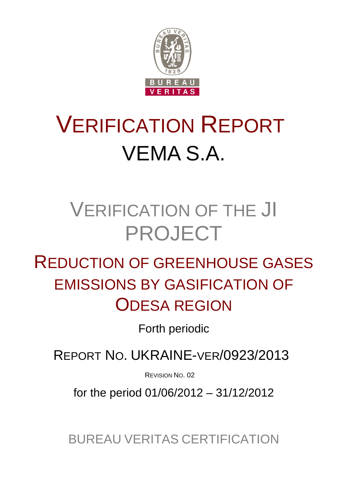

# VERIFICATION REPORT VEMA S.A.

## VERIFICATION OF THE JI PROJECT

## REDUCTION OF GREENHOUSE GASES EMISSIONS BY GASIFICATION OF ODESA REGION

Forth periodic

REPORT NO. UKRAINE-VER/0923/2013

REVISION NO. 02

for the period 01/06/2012 – 31/12/2012

BUREAU VERITAS CERTIFICATION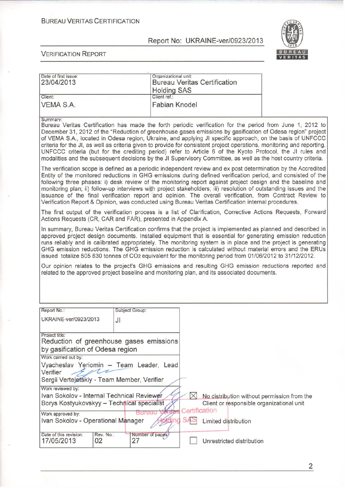#### **BUREAU VERITAS CERTIFICATION**

#### Report No: UKRAINE-ver/0923/2013



| Date of first issue:<br>23/04/2013                                                                                                                                                                                                                                                                                                                                                                                                                                                                                                                                                                                                                                                                        |                            | Organizational unit:<br><b>Holding SAS</b> |                      | <b>Bureau Veritas Certification</b>                                                                              |  |
|-----------------------------------------------------------------------------------------------------------------------------------------------------------------------------------------------------------------------------------------------------------------------------------------------------------------------------------------------------------------------------------------------------------------------------------------------------------------------------------------------------------------------------------------------------------------------------------------------------------------------------------------------------------------------------------------------------------|----------------------------|--------------------------------------------|----------------------|------------------------------------------------------------------------------------------------------------------|--|
| Client:<br>VEMA S.A.                                                                                                                                                                                                                                                                                                                                                                                                                                                                                                                                                                                                                                                                                      |                            | Client ref.:<br><b>Fabian Knodel</b>       |                      |                                                                                                                  |  |
| Summary:<br>Bureau Veritas Certification has made the forth periodic verification for the period from June 1, 2012 to<br>December 31, 2012 of the "Reduction of greenhouse gases emissions by gasification of Odesa region" project<br>of VEMA S.A., located in Odesa region, Ukraine, and applying JI specific approach, on the basis of UNFCCC<br>criteria for the JI, as well as criteria given to provide for consistent project operations, monitoring and reporting.<br>UNFCCC criteria (but for the crediting period) refer to Article 6 of the Kyoto Protocol, the JI rules and<br>modalities and the subsequent decisions by the JI Supervisory Committee, as well as the host country criteria. |                            |                                            |                      |                                                                                                                  |  |
| The verification scope is defined as a periodic independent review and ex post determination by the Accredited<br>Entity of the monitored reductions in GHG emissions during defined verification period, and consisted of the<br>following three phases: i) desk review of the monitoring report against project design and the baseline and<br>monitoring plan; ii) follow-up interviews with project stakeholders; iii) resolution of outstanding issues and the<br>issuance of the final verification report and opinion. The overall verification, from Contract Review to<br>Verification Report & Opinion, was conducted using Bureau Veritas Certification internal procedures.                   |                            |                                            |                      |                                                                                                                  |  |
| The first output of the verification process is a list of Clarification, Corrective Actions Requests, Forward<br>Actions Requests (CR, CAR and FAR), presented in Appendix A.                                                                                                                                                                                                                                                                                                                                                                                                                                                                                                                             |                            |                                            |                      |                                                                                                                  |  |
| In summary, Bureau Veritas Certification confirms that the project is implemented as planned and described in<br>approved project design documents. Installed equipment that is essential for generating emission reduction<br>runs reliably and is calibrated appropriately. The monitoring system is in place and the project is generating<br>GHG emission reductions. The GHG emission reduction is calculated without material errors and the ERUs<br>issued totalize 505 830 tonnes of CO2 equivalent for the monitoring period from 01/06/2012 to 31/12/2012.                                                                                                                                      |                            |                                            |                      |                                                                                                                  |  |
| Our opinion relates to the project's GHG emissions and resulting GHG emission reductions reported and<br>related to the approved project baseline and monitoring plan, and its associated documents.                                                                                                                                                                                                                                                                                                                                                                                                                                                                                                      |                            |                                            |                      |                                                                                                                  |  |
| Report No.:                                                                                                                                                                                                                                                                                                                                                                                                                                                                                                                                                                                                                                                                                               | Subject Group:             |                                            |                      |                                                                                                                  |  |
| UKRAINE-ver/0923/2013                                                                                                                                                                                                                                                                                                                                                                                                                                                                                                                                                                                                                                                                                     | JI                         |                                            |                      |                                                                                                                  |  |
| Project title:<br>Reduction of greenhouse gases emissions<br>by gasification of Odesa region                                                                                                                                                                                                                                                                                                                                                                                                                                                                                                                                                                                                              |                            |                                            |                      |                                                                                                                  |  |
| Work carried out by:<br>Vyacheslav Yeriomin - Team Leader, Lead<br>Verifier<br>Sergii Verteletskiy - Team Member, Verifier                                                                                                                                                                                                                                                                                                                                                                                                                                                                                                                                                                                |                            |                                            |                      |                                                                                                                  |  |
| Work reviewed by:<br>Ivan Sokolov - Internal Technical Reviewer<br>Borys Kostyukovskyy - Technical specialist<br>Work approved by:<br>Ivan Sokolov - Operational Manager<br>Date of this revision:<br>Rev. No.:                                                                                                                                                                                                                                                                                                                                                                                                                                                                                           | Bureau<br>Number of pages; |                                            | Certification<br>SAS | No distribution without permission from the<br>Client or responsible organizational unit<br>Limited distribution |  |
| 17/05/2013<br>02                                                                                                                                                                                                                                                                                                                                                                                                                                                                                                                                                                                                                                                                                          | 27                         |                                            |                      | Unrestricted distribution                                                                                        |  |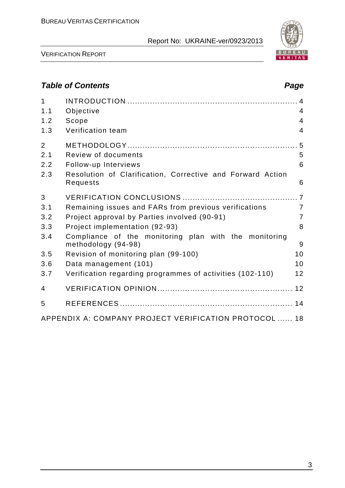

VERIFICATION REPORT

## *Table of Contents Page*

| 1<br>1.1<br>1.2 | Objective<br>Scope                                                           | 4<br>$\overline{4}$      |
|-----------------|------------------------------------------------------------------------------|--------------------------|
| 1.3             | Verification team                                                            | $\overline{\mathcal{L}}$ |
| $\overline{2}$  |                                                                              |                          |
| 2.1             | Review of documents                                                          | 5                        |
| 2.2             | Follow-up Interviews                                                         | 6                        |
| 2.3             | Resolution of Clarification, Corrective and Forward Action<br>Requests       | 6                        |
| 3               |                                                                              |                          |
| 3.1             | Remaining issues and FARs from previous verifications                        | $\overline{7}$           |
| 3.2             | Project approval by Parties involved (90-91)                                 | $\overline{7}$           |
| 3.3             | Project implementation (92-93)                                               | 8                        |
| 3.4             | Compliance of the monitoring plan with the monitoring<br>methodology (94-98) | 9                        |
| 3.5             | Revision of monitoring plan (99-100)                                         | 10                       |
| 3.6             | Data management (101)                                                        | 10                       |
| 3.7             | Verification regarding programmes of activities (102-110)                    | 12                       |
| $\overline{4}$  |                                                                              |                          |
| 5               |                                                                              |                          |
|                 | APPENDIX A: COMPANY PROJECT VERIFICATION PROTOCOL  18                        |                          |

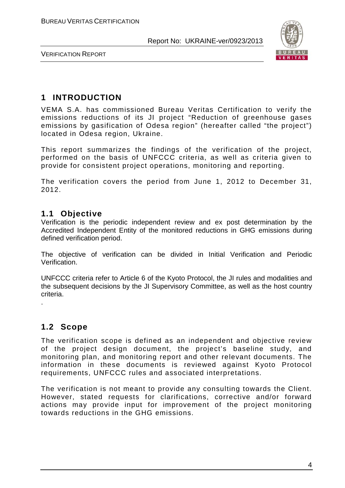

VERIFICATION REPORT

## **1 INTRODUCTION**

VEMA S.A. has commissioned Bureau Veritas Certification to verify the emissions reductions of its JI project "Reduction of greenhouse gases emissions by gasification of Odesa region" (hereafter called "the project") located in Odesa region, Ukraine.

This report summarizes the findings of the verification of the project, performed on the basis of UNFCCC criteria, as well as criteria given to provide for consistent project operations, monitoring and reporting.

The verification covers the period from June 1, 2012 to December 31, 2012.

#### **1.1 Objective**

Verification is the periodic independent review and ex post determination by the Accredited Independent Entity of the monitored reductions in GHG emissions during defined verification period.

The objective of verification can be divided in Initial Verification and Periodic Verification.

UNFCCC criteria refer to Article 6 of the Kyoto Protocol, the JI rules and modalities and the subsequent decisions by the JI Supervisory Committee, as well as the host country criteria.

**1.2 Scope**

.

The verification scope is defined as an independent and objective review of the project design document, the project's baseline study, and monitoring plan, and monitoring report and other relevant documents. The information in these documents is reviewed against Kyoto Protocol requirements, UNFCCC rules and associated interpretations.

The verification is not meant to provide any consulting towards the Client. However, stated requests for clarifications, corrective and/or forward actions may provide input for improvement of the project monitoring towards reductions in the GHG emissions.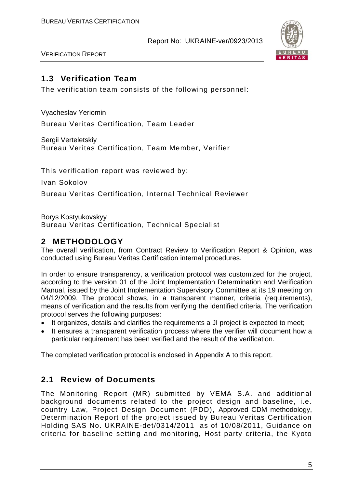

VERIFICATION REPORT

## **1.3 Verification Team**

The verification team consists of the following personnel:

Vyacheslav Yeriomin Bureau Veritas Certification, Team Leader

Sergii Verteletskiy Bureau Veritas Certification, Team Member, Verifier

This verification report was reviewed by:

Ivan Sokolov

Bureau Veritas Certification, Internal Technical Reviewer

Borys Kostyukovskyy Bureau Veritas Certification, Technical Specialist

## **2 METHODOLOGY**

The overall verification, from Contract Review to Verification Report & Opinion, was conducted using Bureau Veritas Certification internal procedures.

In order to ensure transparency, a verification protocol was customized for the project, according to the version 01 of the Joint Implementation Determination and Verification Manual, issued by the Joint Implementation Supervisory Committee at its 19 meeting on 04/12/2009. The protocol shows, in a transparent manner, criteria (requirements), means of verification and the results from verifying the identified criteria. The verification protocol serves the following purposes:

- It organizes, details and clarifies the requirements a JI project is expected to meet;
- It ensures a transparent verification process where the verifier will document how a particular requirement has been verified and the result of the verification.

The completed verification protocol is enclosed in Appendix A to this report.

#### **2.1 Review of Documents**

The Monitoring Report (MR) submitted by VEMA S.A. and additional background documents related to the project design and baseline, i.e. country Law, Project Design Document (PDD), Approved CDM methodology, Determination Report of the project issued by Bureau Veritas Certification Holding SAS No. UKRAINE-det/0314/2011 as of 10/08/2011, Guidance on criteria for baseline setting and monitoring, Host party criteria, the Kyoto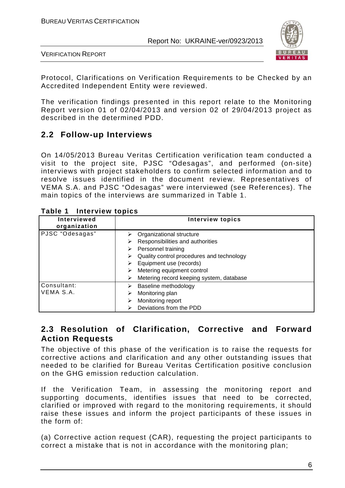

VERIFICATION REPORT

Protocol, Clarifications on Verification Requirements to be Checked by an Accredited Independent Entity were reviewed.

The verification findings presented in this report relate to the Monitoring Report version 01 of 02/04/2013 and version 02 of 29/04/2013 project as described in the determined PDD.

## **2.2 Follow-up Interviews**

On 14/05/2013 Bureau Veritas Certification verification team conducted a visit to the project site, PJSC "Odesagas", and performed (on-site) interviews with project stakeholders to confirm selected information and to resolve issues identified in the document review. Representatives of VEMA S.A. and PJSC "Odesagas" were interviewed (see References). The main topics of the interviews are summarized in Table 1.

| <b>Interviewed</b><br>organization | <b>Interview topics</b>                                                                                                                                                                                                                                  |
|------------------------------------|----------------------------------------------------------------------------------------------------------------------------------------------------------------------------------------------------------------------------------------------------------|
| PJSC "Odesagas"                    | Organizational structure<br>Responsibilities and authorities<br>⋗<br>Personnel training<br>➤<br>Quality control procedures and technology<br>➤<br>Equipment use (records)<br>Metering equipment control<br>Metering record keeping system, database<br>➤ |
| Consultant:<br>VEMA S.A.           | Baseline methodology<br>Monitoring plan<br>Monitoring report<br>Deviations from the PDD                                                                                                                                                                  |

#### **Table 1 Interview topics**

#### **2.3 Resolution of Clarification, Corrective and Forward Action Requests**

The objective of this phase of the verification is to raise the requests for corrective actions and clarification and any other outstanding issues that needed to be clarified for Bureau Veritas Certification positive conclusion on the GHG emission reduction calculation.

If the Verification Team, in assessing the monitoring report and supporting documents, identifies issues that need to be corrected, clarified or improved with regard to the monitoring requirements, it should raise these issues and inform the project participants of these issues in the form of:

(a) Corrective action request (CAR), requesting the project participants to correct a mistake that is not in accordance with the monitoring plan;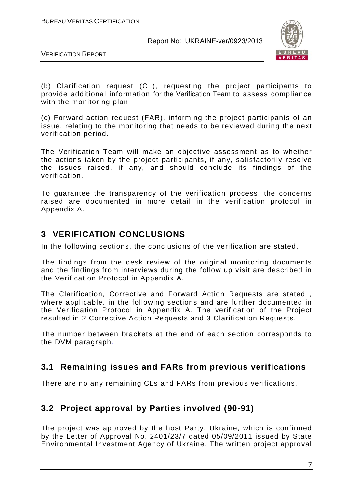

VERIFICATION REPORT

(b) Clarification request (CL), requesting the project participants to provide additional information for the Verification Team to assess compliance with the monitoring plan

(c) Forward action request (FAR), informing the project participants of an issue, relating to the monitoring that needs to be reviewed during the next verification period.

The Verification Team will make an objective assessment as to whether the actions taken by the project participants, if any, satisfactorily resolve the issues raised, if any, and should conclude its findings of the verification.

To guarantee the transparency of the verification process, the concerns raised are documented in more detail in the verification protocol in Appendix A.

## **3 VERIFICATION CONCLUSIONS**

In the following sections, the conclusions of the verification are stated.

The findings from the desk review of the original monitoring documents and the findings from interviews during the follow up visit are described in the Verification Protocol in Appendix A.

The Clarification, Corrective and Forward Action Requests are stated , where applicable, in the following sections and are further documented in the Verification Protocol in Appendix A. The verification of the Project resulted in 2 Corrective Action Requests and 3 Clarification Requests.

The number between brackets at the end of each section corresponds to the DVM paragraph.

#### **3.1 Remaining issues and FARs from previous verifications**

There are no any remaining CLs and FARs from previous verifications.

## **3.2 Project approval by Parties involved (90-91)**

The project was approved by the host Party, Ukraine, which is confirmed by the Letter of Approval No. 2401/23/7 dated 05/09/2011 issued by State Environmental Investment Agency of Ukraine. The written project approval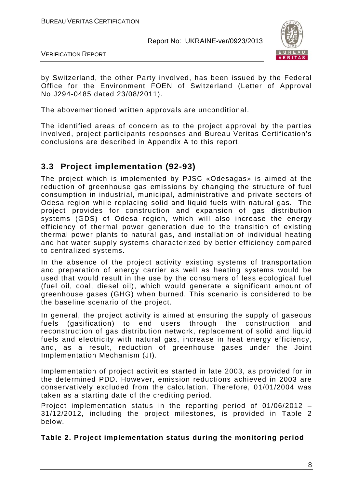

VERIFICATION REPORT

by Switzerland, the other Party involved, has been issued by the Federal Office for the Environment FOEN of Switzerland (Letter of Approval No.J294-0485 dated 23/08/2011).

The abovementioned written approvals are unconditional.

The identified areas of concern as to the project approval by the parties involved, project participants responses and Bureau Veritas Certification's conclusions are described in Appendix A to this report.

## **3.3 Project implementation (92-93)**

The project which is implemented by PJSC «Odesagas» is aimed at the reduction of greenhouse gas emissions by changing the structure of fuel consumption in industrial, municipal, administrative and private sectors of Odesa region while replacing solid and liquid fuels with natural gas. The project provides for construction and expansion of gas distribution systems (GDS) of Odesa region, which will also increase the energy efficiency of thermal power generation due to the transition of existing thermal power plants to natural gas, and installation of individual heating and hot water supply systems characterized by better efficiency compared to centralized systems.

In the absence of the project activity existing systems of transportation and preparation of energy carrier as well as heating systems would be used that would result in the use by the consumers of less ecological fuel (fuel oil, coal, diesel oil), which would generate a significant amount of greenhouse gases (GHG) when burned. This scenario is considered to be the baseline scenario of the project.

In general, the project activity is aimed at ensuring the supply of gaseous fuels (gasification) to end users through the construction and reconstruction of gas distribution network, replacement of solid and liquid fuels and electricity with natural gas, increase in heat energy efficiency, and, as a result, reduction of greenhouse gases under the Joint Implementation Mechanism (JI).

Implementation of project activities started in late 2003, as provided for in the determined PDD. However, emission reductions achieved in 2003 are conservatively excluded from the calculation. Therefore, 01/01/2004 was taken as a starting date of the crediting period.

Project implementation status in the reporting period of 01/06/2012 – 31/12/2012, including the project milestones, is provided in Table 2 below.

**Table 2. Project implementation status during the monitoring period**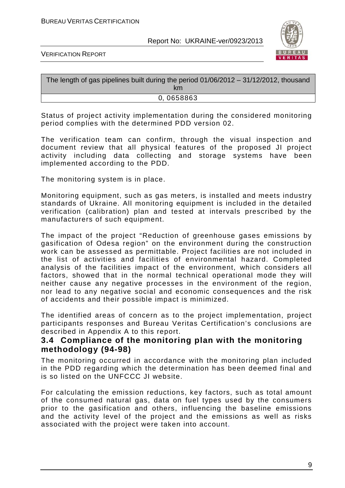

VERIFICATION REPORT

| The length of gas pipelines built during the period 01/06/2012 - 31/12/2012, thousand<br><b>km</b> |
|----------------------------------------------------------------------------------------------------|
| 0,0658863                                                                                          |

Status of project activity implementation during the considered monitoring period complies with the determined PDD version 02.

The verification team can confirm, through the visual inspection and document review that all physical features of the proposed JI project activity including data collecting and storage systems have been implemented according to the PDD.

The monitoring system is in place.

Monitoring equipment, such as gas meters, is installed and meets industry standards of Ukraine. All monitoring equipment is included in the detailed verification (calibration) plan and tested at intervals prescribed by the manufacturers of such equipment.

The impact of the project "Reduction of greenhouse gases emissions by gasification of Odesa region" on the environment during the construction work can be assessed as permittable. Project facilities are not included in the list of activities and facilities of environmental hazard. Completed analysis of the facilities impact of the environment, which considers all factors, showed that in the normal technical operational mode they will neither cause any negative processes in the environment of the region, nor lead to any negative social and economic consequences and the risk of accidents and their possible impact is minimized.

The identified areas of concern as to the project implementation, project participants responses and Bureau Veritas Certification's conclusions are described in Appendix A to this report.

#### **3.4 Compliance of the monitoring plan with the monitoring methodology (94-98)**

The monitoring occurred in accordance with the monitoring plan included in the PDD regarding which the determination has been deemed final and is so listed on the UNFCCC JI website.

For calculating the emission reductions, key factors, such as total amount of the consumed natural gas, data on fuel types used by the consumers prior to the gasification and others, influencing the baseline emissions and the activity level of the project and the emissions as well as risks associated with the project were taken into account.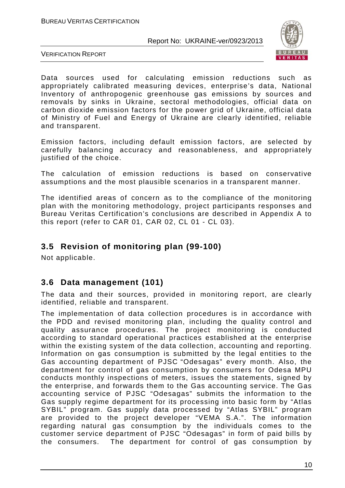

VERIFICATION REPORT

Data sources used for calculating emission reductions such as appropriately calibrated measuring devices, enterprise's data, National Inventory of anthropogenic greenhouse gas emissions by sources and removals by sinks in Ukraine, sectoral methodologies, official data on carbon dioxide emission factors for the power grid of Ukraine, official data of Ministry of Fuel and Energy of Ukraine are clearly identified, reliable and transparent.

Emission factors, including default emission factors, are selected by carefully balancing accuracy and reasonableness, and appropriately justified of the choice.

The calculation of emission reductions is based on conservative assumptions and the most plausible scenarios in a transparent manner.

The identified areas of concern as to the compliance of the monitoring plan with the monitoring methodology, project participants responses and Bureau Veritas Certification's conclusions are described in Appendix A to this report (refer to CAR 01, CAR 02, CL 01 - CL 03).

## **3.5 Revision of monitoring plan (99-100)**

Not applicable.

#### **3.6 Data management (101)**

The data and their sources, provided in monitoring report, are clearly identified, reliable and transparent.

The implementation of data collection procedures is in accordance with the PDD and revised monitoring plan, including the quality control and quality assurance procedures. The project monitoring is conducted according to standard operational practices established at the enterprise within the existing system of the data collection, accounting and reporting. Information on gas consumption is submitted by the legal entities to the Gas accounting department of PJSC "Odesagas" every month. Also, the department for control of gas consumption by consumers for Odesa MPU conducts monthly inspections of meters, issues the statements, signed by the enterprise, and forwards them to the Gas accounting service. The Gas accounting service of PJSC "Odesagas" submits the information to the Gas supply regime department for its processing into basic form by "Atlas SYBIL" program. Gas supply data processed by "Atlas SYBIL" program are provided to the project developer "VEMA S.A.". The information regarding natural gas consumption by the individuals comes to the customer service department of PJSC "Odesagas" in form of paid bills by the consumers. The department for control of gas consumption by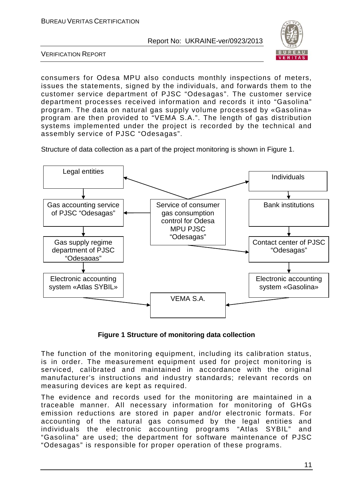

VERIFICATION REPORT

consumers for Odesa MPU also conducts monthly inspections of meters, issues the statements, signed by the individuals, and forwards them to the customer service department of PJSC "Odesagas". The customer service department processes received information and records it into "Gasolina" program. The data on natural gas supply volume processed by «Gasolina» program are then provided to "VEMA S.A.". The length of gas distribution systems implemented under the project is recorded by the technical and assembly service of PJSC "Odesagas".

Structure of data collection as a part of the project monitoring is shown in Figure 1.



**Figure 1 Structure of monitoring data collection**

The function of the monitoring equipment, including its calibration status, is in order. The measurement equipment used for project monitoring is serviced, calibrated and maintained in accordance with the original manufacturer's instructions and industry standards; relevant records on measuring devices are kept as required.

The evidence and records used for the monitoring are maintained in a traceable manner. All necessary information for monitoring of GHGs emission reductions are stored in paper and/or electronic formats. For accounting of the natural gas consumed by the legal entities and individuals the electronic accounting programs "Atlas SYBIL" and "Gasolina" are used; the department for software maintenance of PJSC "Odesagas" is responsible for proper operation of these programs.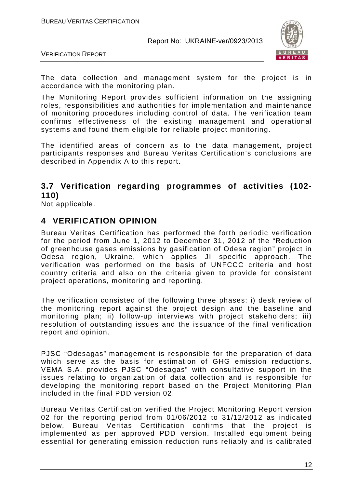



The data collection and management system for the project is in accordance with the monitoring plan.

The Monitoring Report provides sufficient information on the assigning roles, responsibilities and authorities for implementation and maintenance of monitoring procedures including control of data. The verification team confirms effectiveness of the existing management and operational systems and found them eligible for reliable project monitoring.

The identified areas of concern as to the data management, project participants responses and Bureau Veritas Certification's conclusions are described in Appendix A to this report.

## **3.7 Verification regarding programmes of activities (102- 110)**

Not applicable.

#### **4 VERIFICATION OPINION**

Bureau Veritas Certification has performed the forth periodic verification for the period from June 1, 2012 to December 31, 2012 of the "Reduction of greenhouse gases emissions by gasification of Odesa region" project in Odesa region, Ukraine, which applies JI specific approach. The verification was performed on the basis of UNFCCC criteria and host country criteria and also on the criteria given to provide for consistent project operations, monitoring and reporting.

The verification consisted of the following three phases: i) desk review of the monitoring report against the project design and the baseline and monitoring plan; ii) follow-up interviews with project stakeholders; iii) resolution of outstanding issues and the issuance of the final verification report and opinion.

PJSC "Odesagas" management is responsible for the preparation of data which serve as the basis for estimation of GHG emission reductions. VEMA S.A. provides PJSC "Odesagas" with consultative support in the issues relating to organization of data collection and is responsible for developing the monitoring report based on the Project Monitoring Plan included in the final PDD version 02.

Bureau Veritas Certification verified the Project Monitoring Report version 02 for the reporting period from 01/06/2012 to 31/12/2012 as indicated below. Bureau Veritas Certification confirms that the project is implemented as per approved PDD version. Installed equipment being essential for generating emission reduction runs reliably and is calibrated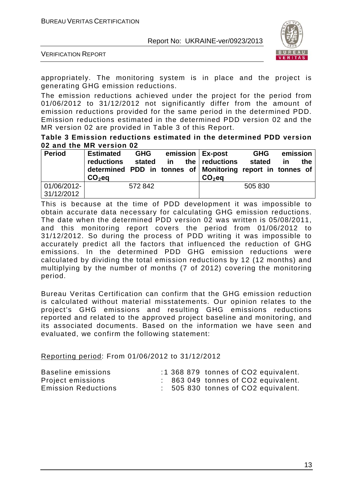

VERIFICATION REPORT

appropriately. The monitoring system is in place and the project is generating GHG emission reductions.

The emission reductions achieved under the project for the period from 01/06/2012 to 31/12/2012 not significantly differ from the amount of emission reductions provided for the same period in the determined PDD. Emission reductions estimated in the determined PDD version 02 and the MR version 02 are provided in Table 3 of this Report.

**Table 3 Emission reductions estimated in the determined PDD version 02 and the MR version 02**

| <b>Period</b> | <b>Estimated</b> | <b>GHG</b> |  | emission   Ex-post                                         | <b>GHG</b> | emission |     |
|---------------|------------------|------------|--|------------------------------------------------------------|------------|----------|-----|
|               | reductions       | stated     |  | in the reductions                                          | stated     | in       | the |
|               |                  |            |  | determined PDD in tonnes of Monitoring report in tonnes of |            |          |     |
|               | $CO2$ eq         |            |  | $CO2$ eq                                                   |            |          |     |
| 01/06/2012-   |                  | 572 842    |  |                                                            | 505 830    |          |     |
| 31/12/2012    |                  |            |  |                                                            |            |          |     |

This is because at the time of PDD development it was impossible to obtain accurate data necessary for calculating GHG emission reductions. The date when the determined PDD version 02 was written is 05/08/2011, and this monitoring report covers the period from 01/06/2012 to 31/12/2012. So during the process of PDD writing it was impossible to accurately predict all the factors that influenced the reduction of GHG emissions. In the determined PDD GHG emission reductions were calculated by dividing the total emission reductions by 12 (12 months) and multiplying by the number of months (7 of 2012) covering the monitoring period.

Bureau Veritas Certification can confirm that the GHG emission reduction is calculated without material misstatements. Our opinion relates to the project's GHG emissions and resulting GHG emissions reductions reported and related to the approved project baseline and monitoring, and its associated documents. Based on the information we have seen and evaluated, we confirm the following statement:

Reporting period: From 01/06/2012 to 31/12/2012

| Baseline emissions         |  |  | :1 368 879 tonnes of CO2 equivalent. |
|----------------------------|--|--|--------------------------------------|
| Project emissions          |  |  | : 863 049 tonnes of CO2 equivalent.  |
| <b>Emission Reductions</b> |  |  | : 505 830 tonnes of CO2 equivalent.  |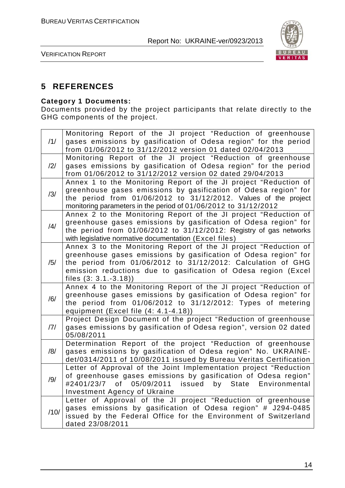

VERIFICATION REPORT

## **5 REFERENCES**

#### **Category 1 Documents:**

Documents provided by the project participants that relate directly to the GHG components of the project.

| /1/  | Monitoring Report of the JI project "Reduction of greenhouse<br>gases emissions by gasification of Odesa region" for the period<br>from 01/06/2012 to 31/12/2012 version 01 dated 02/04/2013                                                                                                    |
|------|-------------------------------------------------------------------------------------------------------------------------------------------------------------------------------------------------------------------------------------------------------------------------------------------------|
| /2/  | Monitoring Report of the JI project "Reduction of greenhouse<br>gases emissions by gasification of Odesa region" for the period<br>from 01/06/2012 to 31/12/2012 version 02 dated 29/04/2013                                                                                                    |
| /3/  | Annex 1 to the Monitoring Report of the JI project "Reduction of<br>greenhouse gases emissions by gasification of Odesa region" for<br>the period from 01/06/2012 to 31/12/2012. Values of the project<br>monitoring parameters in the period of 01/06/2012 to 31/12/2012                       |
| /4/  | Annex 2 to the Monitoring Report of the JI project "Reduction of<br>greenhouse gases emissions by gasification of Odesa region" for<br>the period from 01/06/2012 to 31/12/2012: Registry of gas networks<br>with legislative normative documentation (Excel files)                             |
| /5/  | Annex 3 to the Monitoring Report of the JI project "Reduction of<br>greenhouse gases emissions by gasification of Odesa region" for<br>the period from 01/06/2012 to 31/12/2012: Calculation of GHG<br>emission reductions due to gasification of Odesa region (Excel<br>files $(3: 3.1.-3.18)$ |
| /6/  | Annex 4 to the Monitoring Report of the JI project "Reduction of<br>greenhouse gases emissions by gasification of Odesa region" for<br>the period from 01/06/2012 to 31/12/2012: Types of metering<br>equipment (Excel file (4: 4.1-4.18))                                                      |
| 7    | Project Design Document of the project "Reduction of greenhouse<br>gases emissions by gasification of Odesa region", version 02 dated<br>05/08/2011                                                                                                                                             |
| /8/  | Determination Report of the project "Reduction of greenhouse<br>gases emissions by gasification of Odesa region" No. UKRAINE-<br>det/0314/2011 of 10/08/2011 issued by Bureau Veritas Certification                                                                                             |
| /9/  | Letter of Approval of the Joint Implementation project "Reduction<br>of greenhouse gases emissions by gasification of Odesa region"<br>05/09/2011<br>#2401/23/7<br>of<br>issued by State<br>Environmental<br>Investment Agency of Ukraine                                                       |
| /10/ | Letter of Approval of the JI project "Reduction of greenhouse<br>gases emissions by gasification of Odesa region" # J294-0485<br>issued by the Federal Office for the Environment of Switzerland<br>dated 23/08/2011                                                                            |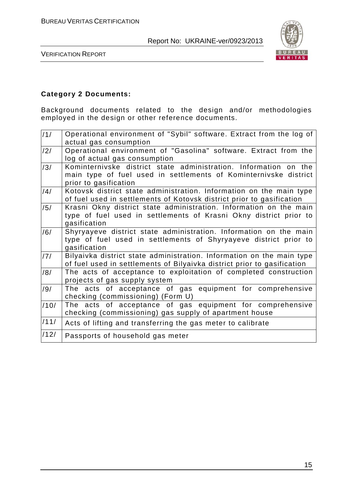

VERIFICATION REPORT

#### **Category 2 Documents:**

Background documents related to the design and/or methodologies employed in the design or other reference documents.

| 11/  | Operational environment of "Sybil" software. Extract from the log of<br>actual gas consumption                                                                |
|------|---------------------------------------------------------------------------------------------------------------------------------------------------------------|
| /2/  | Operational environment of "Gasolina" software. Extract from the<br>log of actual gas consumption                                                             |
| /3/  | Kominternivske district state administration. Information on the<br>main type of fuel used in settlements of Kominternivske district<br>prior to gasification |
| /4/  | Kotovsk district state administration. Information on the main type<br>of fuel used in settlements of Kotovsk district prior to gasification                  |
| /5/  | Krasni Okny district state administration. Information on the main<br>type of fuel used in settlements of Krasni Okny district prior to<br>gasification       |
| /6/  | Shyryayeve district state administration. Information on the main<br>type of fuel used in settlements of Shyryayeve district prior to<br>gasification         |
| /7/  | Bilyaivka district state administration. Information on the main type<br>of fuel used in settlements of Bilyaivka district prior to gasification              |
| /8/  | The acts of acceptance to exploitation of completed construction<br>projects of gas supply system                                                             |
| /9/  | The acts of acceptance of gas equipment for comprehensive<br>checking (commissioning) (Form U)                                                                |
| /10/ | The acts of acceptance of gas equipment for comprehensive<br>checking (commissioning) gas supply of apartment house                                           |
| /11/ | Acts of lifting and transferring the gas meter to calibrate                                                                                                   |
| /12/ | Passports of household gas meter                                                                                                                              |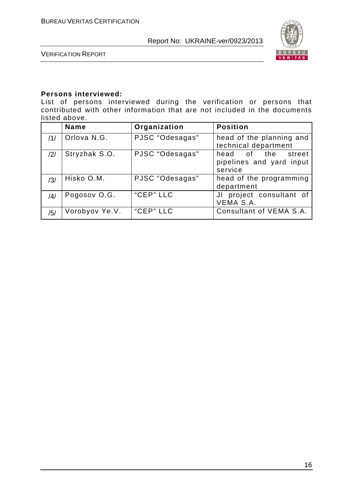

VERIFICATION REPORT

#### **Persons interviewed:**

List of persons interviewed during the verification or persons that contributed with other information that are not included in the documents listed above.

|     | <b>Name</b>    | Organization    | <b>Position</b>                                           |
|-----|----------------|-----------------|-----------------------------------------------------------|
| /1/ | Orlova N.G.    | PJSC "Odesagas" | head of the planning and<br>technical department          |
| /2/ | Stryzhak S.O.  | PJSC "Odesagas" | head of the street<br>pipelines and yard input<br>service |
| /3/ | Hisko O.M.     | PJSC "Odesagas" | head of the programming<br>department                     |
| /4/ | Pogosov O.G.   | "CEP" LLC       | JI project consultant of<br>VEMA S.A.                     |
| /5/ | Vorobyov Ye.V. | "CEP" LLC       | Consultant of VEMA S.A.                                   |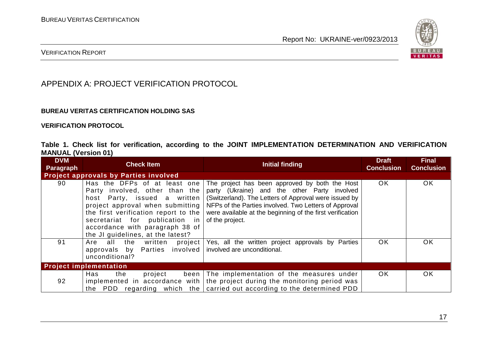

#### VERIFICATION REPORT

## APPENDIX A: PROJECT VERIFICATION PROTOCOL

#### **BUREAU VERITAS CERTIFICATION HOLDING SAS**

**VERIFICATION PROTOCOL**

|                            |  |  | Table 1. Check list for verification, according to the JOINT IMPLEMENTATION DETERMINATION AND VERIFICATION |  |  |
|----------------------------|--|--|------------------------------------------------------------------------------------------------------------|--|--|
| <b>MANUAL (Version 01)</b> |  |  |                                                                                                            |  |  |

| <b>DVM</b><br>Paragraph | <b>Check Item</b>                                                                                                                                                                                                                                                                    | <b>Initial finding</b>                                                                                                                                                                                                                                                                           | <b>Draft</b><br><b>Conclusion</b> | <b>Final</b><br><b>Conclusion</b> |
|-------------------------|--------------------------------------------------------------------------------------------------------------------------------------------------------------------------------------------------------------------------------------------------------------------------------------|--------------------------------------------------------------------------------------------------------------------------------------------------------------------------------------------------------------------------------------------------------------------------------------------------|-----------------------------------|-----------------------------------|
|                         | <b>Project approvals by Parties involved</b>                                                                                                                                                                                                                                         |                                                                                                                                                                                                                                                                                                  |                                   |                                   |
| 90                      | Has the DFPs of at least one<br>Party involved, other than the<br>host Party, issued a written<br>project approval when submitting<br>the first verification report to the<br>secretariat for publication in<br>accordance with paragraph 38 of<br>the JI guidelines, at the latest? | The project has been approved by both the Host<br>party (Ukraine) and the other Party involved<br>(Switzerland). The Letters of Approval were issued by<br>NFPs of the Parties involved. Two Letters of Approval<br>were available at the beginning of the first verification<br>of the project. | <b>OK</b>                         | OK                                |
| 91                      | Are all the written<br>project  <br>approvals by Parties involved<br>unconditional?                                                                                                                                                                                                  | Yes, all the written project approvals by Parties<br>involved are unconditional.                                                                                                                                                                                                                 | <b>OK</b>                         | OK                                |
|                         | <b>Project implementation</b>                                                                                                                                                                                                                                                        |                                                                                                                                                                                                                                                                                                  |                                   |                                   |
| 92                      | Has<br>the<br>project                                                                                                                                                                                                                                                                | been The implementation of the measures under<br>implemented in accordance with   the project during the monitoring period was<br>the PDD regarding which the carried out according to the determined PDD                                                                                        | OK.                               | <b>OK</b>                         |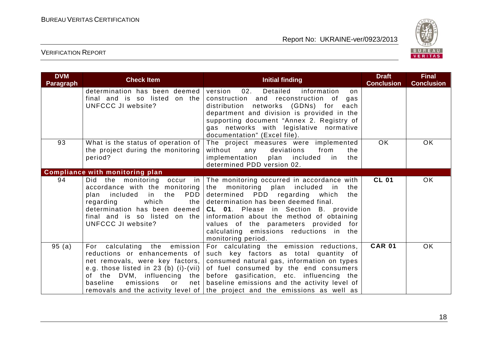

| <b>DVM</b><br><b>Paragraph</b> | <b>Check Item</b>                                                                                         | Initial finding                                                                                                                                                                                                                                                                                                                                                                                                                                                    | <b>Draft</b><br><b>Conclusion</b> | <b>Final</b><br><b>Conclusion</b> |
|--------------------------------|-----------------------------------------------------------------------------------------------------------|--------------------------------------------------------------------------------------------------------------------------------------------------------------------------------------------------------------------------------------------------------------------------------------------------------------------------------------------------------------------------------------------------------------------------------------------------------------------|-----------------------------------|-----------------------------------|
|                                | determination has been deemed  <br>final and is so listed on the<br>UNFCCC JI website?                    | Detailed<br>information<br>version<br>02.<br>on<br>construction and reconstruction of<br>gas<br>distribution networks (GDNs) for each<br>department and division is provided in the<br>supporting document "Annex 2. Registry of<br>gas networks with legislative normative<br>documentation" (Excel file).                                                                                                                                                        |                                   |                                   |
| 93                             | What is the status of operation of<br>the project during the monitoring<br>period?                        | The project measures were implemented<br>without<br>deviations<br>from<br>the<br>any<br>implementation plan included<br>the<br>in in<br>determined PDD version 02.                                                                                                                                                                                                                                                                                                 | OK.                               | <b>OK</b>                         |
|                                | <b>Compliance with monitoring plan</b>                                                                    |                                                                                                                                                                                                                                                                                                                                                                                                                                                                    |                                   |                                   |
| 94                             | accordance with the monitoring<br>PDD<br>plan included in the<br>which<br>regarding<br>UNFCCC JI website? | Did the monitoring occur in The monitoring occurred in accordance with<br>the monitoring plan included in<br>the<br>determined PDD regarding which<br>the<br>the determination has been deemed final.<br>determination has been deemed $ CL$ 01. Please in Section B. provide<br>final and is so listed on the information about the method of obtaining<br>values of the parameters provided for<br>calculating emissions reductions in the<br>monitoring period. | <b>CL 01</b>                      | <b>OK</b>                         |
| 95(a)                          | calculating the emission<br>For<br>reductions or enhancements of<br>baseline<br>emissions<br>or           | For calculating the emission reductions,<br>such key factors as total quantity of<br>net removals, were key factors, consumed natural gas, information on types<br>e.g. those listed in 23 (b) (i)-(vii) of fuel consumed by the end consumers<br>of the DVM, influencing the before gasification, etc. influencing the<br>net baseline emissions and the activity level of<br>removals and the activity level of   the project and the emissions as well as       | <b>CAR 01</b>                     | <b>OK</b>                         |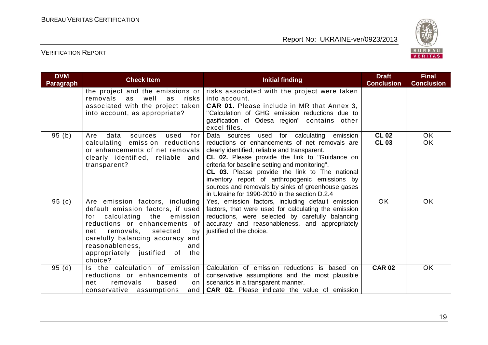

| <b>DVM</b><br><b>Paragraph</b> | <b>Check Item</b>                                                                                                                                                                                                                                                                            | <b>Initial finding</b>                                                                                                                                                                                                                                                                                                                                                                                                                                             | <b>Draft</b><br><b>Conclusion</b> | <b>Final</b><br><b>Conclusion</b> |
|--------------------------------|----------------------------------------------------------------------------------------------------------------------------------------------------------------------------------------------------------------------------------------------------------------------------------------------|--------------------------------------------------------------------------------------------------------------------------------------------------------------------------------------------------------------------------------------------------------------------------------------------------------------------------------------------------------------------------------------------------------------------------------------------------------------------|-----------------------------------|-----------------------------------|
|                                | the project and the emissions or<br>removals<br>well<br>risks<br>as<br>as<br>associated with the project taken<br>into account, as appropriate?                                                                                                                                              | risks associated with the project were taken<br>into account.<br><b>CAR 01.</b> Please include in MR that Annex 3,<br>"Calculation of GHG emission reductions due to<br>gasification of Odesa region" contains other<br>excel files.                                                                                                                                                                                                                               |                                   |                                   |
| 95(b)                          | data<br>used<br>sources<br>for<br>Are<br>calculating emission reductions<br>or enhancements of net removals<br>clearly identified, reliable and<br>transparent?                                                                                                                              | Data sources used for calculating emission<br>reductions or enhancements of net removals are<br>clearly identified, reliable and transparent.<br><b>CL 02.</b> Please provide the link to "Guidance on<br>criteria for baseline setting and monitoring".<br>CL 03. Please provide the link to The national<br>inventory report of anthropogenic emissions by<br>sources and removals by sinks of greenhouse gases<br>in Ukraine for 1990-2010 in the section D.2.4 | <b>CL 02</b><br><b>CL 03</b>      | OK.<br>OK                         |
| 95 $(c)$                       | Are emission factors, including<br>default emission factors, if used<br>calculating the emission<br>for<br>reductions or enhancements of<br>removals,<br>selected<br>net<br>by<br>carefully balancing accuracy and<br>reasonableness,<br>and<br>of the<br>appropriately justified<br>choice? | Yes, emission factors, including default emission<br>factors, that were used for calculating the emission<br>reductions, were selected by carefully balancing<br>accuracy and reasonableness, and appropriately<br>justified of the choice.                                                                                                                                                                                                                        | OK.                               | OK.                               |
| 95(d)                          | Is the calculation of emission<br>reductions or enhancements of<br>removals<br>based<br>net<br>on<br>conservative assumptions                                                                                                                                                                | Calculation of emission reductions is based on<br>conservative assumptions and the most plausible<br>scenarios in a transparent manner.<br>and   CAR 02. Please indicate the value of emission                                                                                                                                                                                                                                                                     | <b>CAR 02</b>                     | <b>OK</b>                         |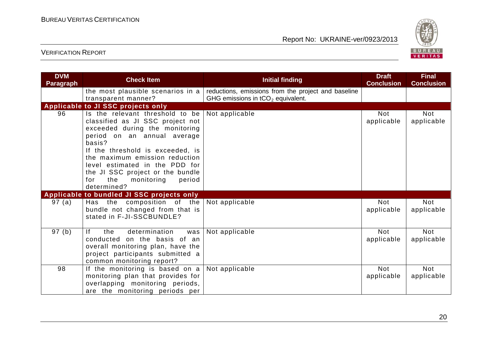

| <b>DVM</b><br><b>Paragraph</b> | <b>Check Item</b>                                                                                                                                                                                                                                                                                                                               | <b>Initial finding</b>                                                                     | <b>Draft</b><br><b>Conclusion</b> | <b>Final</b><br><b>Conclusion</b> |
|--------------------------------|-------------------------------------------------------------------------------------------------------------------------------------------------------------------------------------------------------------------------------------------------------------------------------------------------------------------------------------------------|--------------------------------------------------------------------------------------------|-----------------------------------|-----------------------------------|
|                                | the most plausible scenarios in a<br>transparent manner?                                                                                                                                                                                                                                                                                        | reductions, emissions from the project and baseline<br>GHG emissions in $tCO2$ equivalent. |                                   |                                   |
|                                | Applicable to JI SSC projects only                                                                                                                                                                                                                                                                                                              |                                                                                            |                                   |                                   |
| 96                             | Is the relevant threshold to be<br>classified as JI SSC project not<br>exceeded during the monitoring<br>period on an annual average<br>basis?<br>If the threshold is exceeded, is<br>the maximum emission reduction<br>level estimated in the PDD for<br>the JI SSC project or the bundle<br>the<br>monitoring<br>period<br>for<br>determined? | Not applicable                                                                             | <b>Not</b><br>applicable          | <b>Not</b><br>applicable          |
|                                | Applicable to bundled JI SSC projects only                                                                                                                                                                                                                                                                                                      |                                                                                            |                                   |                                   |
| 97(a)                          | Has the composition of the<br>bundle not changed from that is<br>stated in F-JI-SSCBUNDLE?                                                                                                                                                                                                                                                      | Not applicable                                                                             | <b>Not</b><br>applicable          | <b>Not</b><br>applicable          |
| 97 (b)                         | f <br>determination<br>the<br>was<br>conducted on the basis of an<br>overall monitoring plan, have the<br>project participants submitted a<br>common monitoring report?                                                                                                                                                                         | Not applicable                                                                             | <b>Not</b><br>applicable          | <b>Not</b><br>applicable          |
| 98                             | If the monitoring is based on a<br>monitoring plan that provides for<br>overlapping monitoring periods,<br>are the monitoring periods per                                                                                                                                                                                                       | Not applicable                                                                             | <b>Not</b><br>applicable          | <b>Not</b><br>applicable          |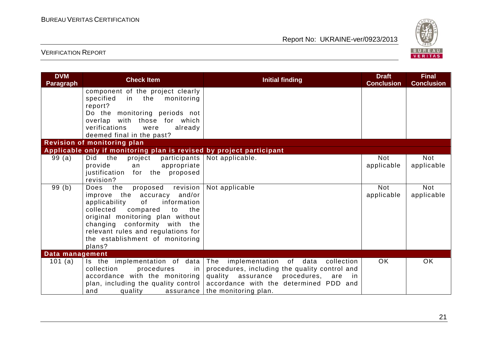

| <b>DVM</b><br><b>Paragraph</b> | <b>Check Item</b>                                                    | <b>Initial finding</b>                        | <b>Draft</b><br><b>Conclusion</b> | <b>Final</b><br><b>Conclusion</b> |
|--------------------------------|----------------------------------------------------------------------|-----------------------------------------------|-----------------------------------|-----------------------------------|
|                                | component of the project clearly                                     |                                               |                                   |                                   |
|                                | specified<br>in the monitoring                                       |                                               |                                   |                                   |
|                                | report?                                                              |                                               |                                   |                                   |
|                                | Do the monitoring periods not<br>overlap with those for which        |                                               |                                   |                                   |
|                                | verifications<br>already<br>were                                     |                                               |                                   |                                   |
|                                | deemed final in the past?                                            |                                               |                                   |                                   |
|                                | Revision of monitoring plan                                          |                                               |                                   |                                   |
|                                | Applicable only if monitoring plan is revised by project participant |                                               |                                   |                                   |
| 99(a)                          | Did the<br>project<br>participants                                   | Not applicable.                               | <b>Not</b>                        | <b>Not</b>                        |
|                                | provide<br>appropriate<br>an                                         |                                               | applicable                        | applicable                        |
|                                | justification for the proposed                                       |                                               |                                   |                                   |
|                                | revision?                                                            |                                               |                                   |                                   |
| 99(b)                          | revision<br>proposed<br>Does the                                     | Not applicable                                | <b>Not</b>                        | <b>Not</b>                        |
|                                | improve the accuracy and/or<br>of                                    |                                               | applicable                        | applicable                        |
|                                | information<br>applicability<br>collected<br>the<br>compared<br>to   |                                               |                                   |                                   |
|                                | original monitoring plan without                                     |                                               |                                   |                                   |
|                                | changing conformity with the                                         |                                               |                                   |                                   |
|                                | relevant rules and regulations for                                   |                                               |                                   |                                   |
|                                | the establishment of monitoring                                      |                                               |                                   |                                   |
|                                | plans?                                                               |                                               |                                   |                                   |
| Data management                |                                                                      |                                               |                                   |                                   |
| 101 (a)                        | Is the implementation of data                                        | The implementation of data collection         | OK.                               | <b>OK</b>                         |
|                                | collection<br>procedures<br>in                                       | procedures, including the quality control and |                                   |                                   |
|                                | accordance with the monitoring                                       | quality assurance procedures, are in          |                                   |                                   |
|                                | plan, including the quality control                                  | accordance with the determined PDD and        |                                   |                                   |
|                                | and<br>quality<br>assurance                                          | the monitoring plan.                          |                                   |                                   |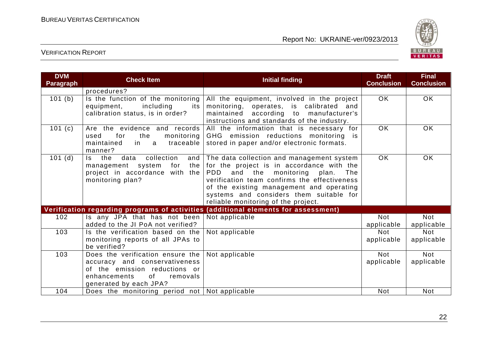

| <b>DVM</b><br><b>Paragraph</b> | <b>Check Item</b>                                                                                                                                                                                                                                                                         | <b>Initial finding</b>                                                                                                                                                                                                                                                                                         | <b>Draft</b><br><b>Conclusion</b> | <b>Final</b><br><b>Conclusion</b> |
|--------------------------------|-------------------------------------------------------------------------------------------------------------------------------------------------------------------------------------------------------------------------------------------------------------------------------------------|----------------------------------------------------------------------------------------------------------------------------------------------------------------------------------------------------------------------------------------------------------------------------------------------------------------|-----------------------------------|-----------------------------------|
|                                | procedures?                                                                                                                                                                                                                                                                               |                                                                                                                                                                                                                                                                                                                |                                   |                                   |
| 101 (b)                        | Is the function of the monitoring<br>All the equipment, involved in the project<br>equipment,<br>including<br>monitoring, operates, is calibrated and<br>its<br>calibration status, is in order?<br>maintained according to manufacturer's<br>instructions and standards of the industry. |                                                                                                                                                                                                                                                                                                                | <b>OK</b>                         | OK                                |
| 101 $(c)$                      | Are the evidence and records<br>for<br>used<br>the<br>monitoring<br>maintained<br>in a<br>traceable<br>manner?                                                                                                                                                                            | All the information that is necessary for<br>GHG emission reductions monitoring is<br>stored in paper and/or electronic formats.                                                                                                                                                                               | <b>OK</b>                         | <b>OK</b>                         |
| $101$ (d)                      | collection<br>$\mathsf{ls}$<br>the<br>data<br>and<br>the<br>management system<br>for<br>project in accordance with the<br>monitoring plan?                                                                                                                                                | The data collection and management system<br>for the project is in accordance with the<br>PDD<br>and the monitoring plan.<br>The<br>verification team confirms the effectiveness<br>of the existing management and operating<br>systems and considers them suitable for<br>reliable monitoring of the project. | <b>OK</b>                         | OK                                |
|                                |                                                                                                                                                                                                                                                                                           | Verification regarding programs of activities (additional elements for assessment)                                                                                                                                                                                                                             |                                   |                                   |
| 102                            | Is any JPA that has not been<br>added to the JI PoA not verified?                                                                                                                                                                                                                         | Not applicable                                                                                                                                                                                                                                                                                                 | <b>Not</b><br>applicable          | <b>Not</b><br>applicable          |
| 103                            | Is the verification based on the<br>monitoring reports of all JPAs to<br>be verified?                                                                                                                                                                                                     | Not applicable                                                                                                                                                                                                                                                                                                 | <b>Not</b><br>applicable          | <b>Not</b><br>applicable          |
| 103                            | Does the verification ensure the<br>accuracy and conservativeness<br>of the emission reductions or<br>enhancements<br>of the contract of the contract of the contract of the contract of the contract of the contract of the contract<br>removals<br>generated by each JPA?               | Not applicable                                                                                                                                                                                                                                                                                                 | <b>Not</b><br>applicable          | <b>Not</b><br>applicable          |
| 104                            | Does the monitoring period not   Not applicable                                                                                                                                                                                                                                           |                                                                                                                                                                                                                                                                                                                | <b>Not</b>                        | <b>Not</b>                        |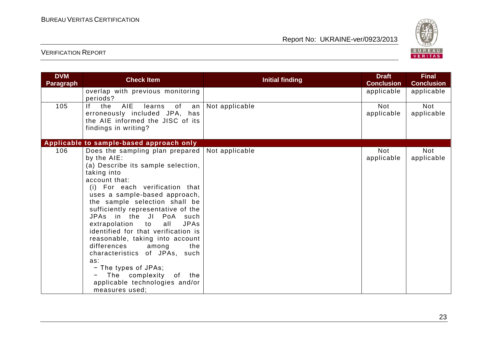

| <b>DVM</b><br><b>Paragraph</b> | <b>Check Item</b>                                                                                                                                                                                                                                                                                                                                                                                                                                                                                                                                                                                                   | <b>Initial finding</b> | <b>Draft</b><br><b>Conclusion</b> | <b>Final</b><br><b>Conclusion</b> |
|--------------------------------|---------------------------------------------------------------------------------------------------------------------------------------------------------------------------------------------------------------------------------------------------------------------------------------------------------------------------------------------------------------------------------------------------------------------------------------------------------------------------------------------------------------------------------------------------------------------------------------------------------------------|------------------------|-----------------------------------|-----------------------------------|
|                                | overlap with previous monitoring<br>periods?                                                                                                                                                                                                                                                                                                                                                                                                                                                                                                                                                                        |                        | applicable                        | applicable                        |
| 105                            | f <br><b>AIE</b><br>the<br>learns<br>of<br>an<br>erroneously included JPA, has<br>the AIE informed the JISC of its<br>findings in writing?                                                                                                                                                                                                                                                                                                                                                                                                                                                                          | Not applicable         | <b>Not</b><br>applicable          | <b>Not</b><br>applicable          |
|                                | Applicable to sample-based approach only                                                                                                                                                                                                                                                                                                                                                                                                                                                                                                                                                                            |                        |                                   |                                   |
| 106                            | Does the sampling plan prepared $\vert$ Not applicable<br>by the AIE:<br>(a) Describe its sample selection,<br>taking into<br>account that:<br>(i) For each verification that<br>uses a sample-based approach,<br>the sample selection shall be<br>sufficiently representative of the<br>JPAs in the JI PoA such<br>extrapolation to<br><b>JPAs</b><br>all<br>identified for that verification is<br>reasonable, taking into account<br>differences<br>among<br>the<br>characteristics of JPAs, such<br>as:<br>- The types of JPAs;<br>The complexity<br>of the<br>applicable technologies and/or<br>measures used; |                        | <b>Not</b><br>applicable          | <b>Not</b><br>applicable          |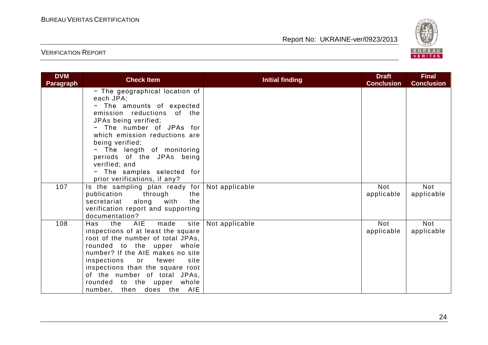

| <b>DVM</b><br><b>Paragraph</b> | <b>Check Item</b>                                                                                                                                                                                                                                                                                                                             | <b>Initial finding</b> | <b>Draft</b><br><b>Conclusion</b> | <b>Final</b><br><b>Conclusion</b> |
|--------------------------------|-----------------------------------------------------------------------------------------------------------------------------------------------------------------------------------------------------------------------------------------------------------------------------------------------------------------------------------------------|------------------------|-----------------------------------|-----------------------------------|
|                                | - The geographical location of<br>each JPA;<br>- The amounts of expected<br>emission reductions of the<br>JPAs being verified;<br>- The number of JPAs for<br>which emission reductions are<br>being verified;<br>- The length of monitoring<br>periods of the JPAs being<br>verified; and<br>- The samples selected for                      |                        |                                   |                                   |
| 107                            | prior verifications, if any?<br>Is the sampling plan ready for Not applicable<br>publication<br>through<br>the<br>along with<br>secretariat<br>the<br>verification report and supporting<br>documentation?                                                                                                                                    |                        | Not<br>applicable                 | Not<br>applicable                 |
| 108                            | AIE<br>made<br>site<br>Has<br>the<br>inspections of at least the square<br>root of the number of total JPAs,<br>rounded to the upper whole<br>number? If the AIE makes no site<br>inspections or fewer<br>site<br>inspections than the square root<br>of the number of total JPAs,<br>rounded to the upper whole<br>number, then does the AIE | Not applicable         | <b>Not</b><br>applicable          | <b>Not</b><br>applicable          |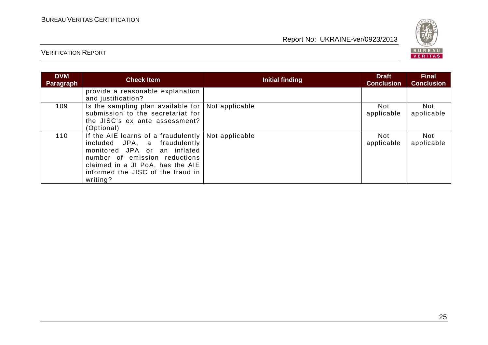

| <b>DVM</b><br>Paragraph | <b>Check Item</b>                                                                                                                                                                                                                          | <b>Initial finding</b> | <b>Draft</b><br><b>Conclusion</b> | <b>Final</b><br><b>Conclusion</b> |
|-------------------------|--------------------------------------------------------------------------------------------------------------------------------------------------------------------------------------------------------------------------------------------|------------------------|-----------------------------------|-----------------------------------|
|                         | provide a reasonable explanation<br>and justification?                                                                                                                                                                                     |                        |                                   |                                   |
| 109                     | Is the sampling plan available for $\vert$ Not applicable<br>submission to the secretariat for<br>the JISC's ex ante assessment?<br>(Optional)                                                                                             |                        | Not<br>applicable                 | <b>Not</b><br>applicable          |
| 110                     | If the AIE learns of a fraudulently   Not applicable<br>included JPA, a fraudulently<br>monitored JPA or an inflated<br>number of emission reductions<br>claimed in a JI PoA, has the AIE<br>informed the JISC of the fraud in<br>writing? |                        | Not<br>applicable                 | <b>Not</b><br>applicable          |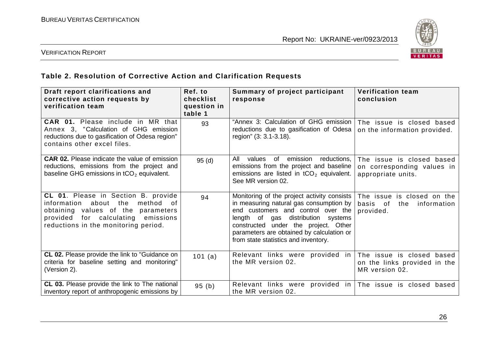

#### VERIFICATION REPORT

## **Table 2. Resolution of Corrective Action and Clarification Requests**

| Draft report clarifications and<br>corrective action requests by<br>verification team                                                                                                             | Ref. to<br>checklist<br>question in<br>table 1 | Summary of project participant<br>response                                                                                                                                                                                                                                                         | <b>Verification team</b><br>conclusion                                        |
|---------------------------------------------------------------------------------------------------------------------------------------------------------------------------------------------------|------------------------------------------------|----------------------------------------------------------------------------------------------------------------------------------------------------------------------------------------------------------------------------------------------------------------------------------------------------|-------------------------------------------------------------------------------|
| CAR 01. Please include in MR that<br>Annex 3, "Calculation of GHG emission<br>reductions due to gasification of Odesa region"<br>contains other excel files.                                      | 93                                             | "Annex 3: Calculation of GHG emission<br>reductions due to gasification of Odesa<br>region" (3: 3.1-3.18).                                                                                                                                                                                         | The issue is closed based<br>on the information provided.                     |
| <b>CAR 02.</b> Please indicate the value of emission<br>reductions, emissions from the project and<br>baseline GHG emissions in $tCO2$ equivalent.                                                | 95(d)                                          | All<br>values of<br>emission<br>reductions,<br>emissions from the project and baseline<br>emissions are listed in $tCO2$ equivalent.<br>See MR version 02.                                                                                                                                         | The issue is closed based<br>on corresponding values in<br>appropriate units. |
| CL 01. Please in Section B. provide<br>information about the<br>method<br>of.<br>obtaining values of the parameters<br>provided for calculating emissions<br>reductions in the monitoring period. | 94                                             | Monitoring of the project activity consists<br>in measuring natural gas consumption by<br>end customers and control over the<br>length of gas distribution<br>systems<br>constructed under the project. Other<br>parameters are obtained by calculation or<br>from state statistics and inventory. | The issue is closed on the<br>basis of<br>the<br>information<br>provided.     |
| <b>CL 02.</b> Please provide the link to "Guidance on<br>criteria for baseline setting and monitoring"<br>(Version 2).                                                                            | 101 (a)                                        | Relevant links were provided in<br>the MR version 02.                                                                                                                                                                                                                                              | The issue is closed based<br>on the links provided in the<br>MR version 02.   |
| CL 03. Please provide the link to The national<br>inventory report of anthropogenic emissions by                                                                                                  | 95(b)                                          | Relevant links were provided in<br>the MR version 02.                                                                                                                                                                                                                                              | The issue is closed based                                                     |